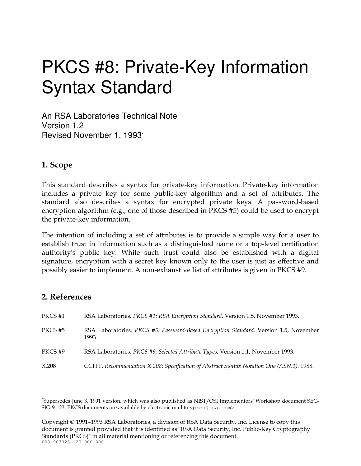# **PKCS #8: Private-Key Information Syntax Standard**

An RSA Laboratories Technical Note Version 1.2 Revised November 1, 1993\*

# 1. Scope

This standard describes a syntax for private-key information. Private-key information includes a private key for some public-key algorithm and a set of attributes. The standard also describes a syntax for encrypted private keys. A password-based encryption algorithm (e.g., one of those described in PKCS #5) could be used to encrypt the private-key information.

The intention of including a set of attributes is to provide a simple way for a user to establish trust in information such as a distinguished name or a top-level certification authority's public key. While such trust could also be established with a digital signature, encryption with a secret key known only to the user is just as effective and possibly easier to implement. A non-exhaustive list of attributes is given in PKCS #9.

# 2. References

| PKCS #1 | RSA Laboratories. PKCS #1: RSA Encryption Standard. Version 1.5, November 1993.               |
|---------|-----------------------------------------------------------------------------------------------|
| PKCS #5 | RSA Laboratories. PKCS #5: Password-Based Encryption Standard. Version 1.5, November<br>1993. |
| PKCS#9  | RSA Laboratories. PKCS #9: Selected Attribute Types. Version 1.1, November 1993.              |
| X.208   | CCITT. Recommendation X.208: Specification of Abstract Syntax Notation One (ASN.1). 1988.     |

Copyright © 1991–1993 RSA Laboratories, a division of RSA Data Security, Inc. License to copy this document is granted provided that it is identified as "RSA Data Security, Inc. Public-Key Cryptography Standards (PKCS)" in all material mentioning or referencing this document.  $003 - 903023 - 120 - 000 - 000$ 

<sup>&</sup>quot;Supersedes June 3, 1991 version, which was also published as NIST/OSI Implementors' Workshop document SEC-SIG-91-23. PKCS documents are available by electronic mail to <pkcs@rsa.com>.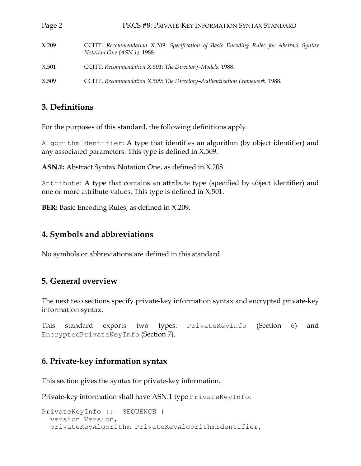| Page 2 | PKCS #8: PRIVATE-KEY INFORMATION SYNTAX STANDARD                                                                      |
|--------|-----------------------------------------------------------------------------------------------------------------------|
| X.209  | CCITT. Recommendation X.209: Specification of Basic Encoding Rules for Abstract Syntax<br>Notation One (ASN.1). 1988. |
| X.501  | CCITT. Recommendation X.501: The Directory-Models. 1988.                                                              |
| X.509  | CCITT. Recommendation X.509: The Directory-Authentication Framework. 1988.                                            |

## 3. Definitions

For the purposes of this standard, the following definitions apply.

 $\Delta$ lgorithmIdentifier: A type that identifies an algorithm (by object identifier) and any associated parameters. This type is defined in X.509.

**ASN.1:** Abstract Syntax Notation One, as defined in X.208.

Attribute: A type that contains an attribute type (specified by object identifier) and one or more attribute values. This type is defined in X.501.

**BER:** Basic Encoding Rules, as defined in X.209.

## 4. Symbols and abbreviations

No symbols or abbreviations are defined in this standard.

# 5. General overview

The next two sections specify private-key information syntax and encrypted private-key information syntax.

exports This standard PrivateKeyInfo (Section) 6) two types: and EncryptedPrivateKeyInfo (Section 7).

### 6. Private-key information syntax

This section gives the syntax for private-key information.

Private-key information shall have ASN.1 type PrivateKeyInfo:

```
PrivateKeyInfo ::= SEQUENCE {
 version Version,
 privateKeyAlgorithm PrivateKeyAlgorithmIdentifier,
```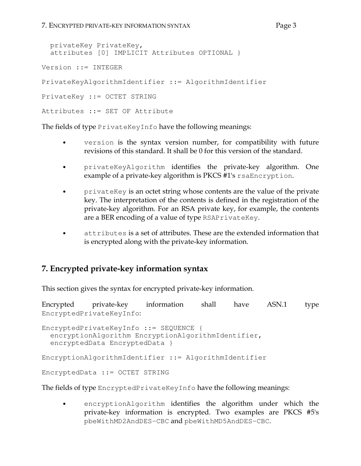```
Page 3
```

```
privateKey PrivateKey,
  attributes [0] IMPLICIT Attributes OPTIONAL }
Version ::= INTEGER
PrivateKeyAlgorithmIdentifier ::= AlgorithmIdentifier
PrivateKey ::= OCTET STRING
Attributes : = SET OF Attribute
```
The fields of type PrivateKeyInfo have the following meanings:

- $\bullet$ version is the syntax version number, for compatibility with future revisions of this standard. It shall be 0 for this version of the standard.
- privateKeyAlgorithm identifies the private-key algorithm. One  $\bullet$ example of a private-key algorithm is PKCS #1's rsaEncryption.
- privateKey is an octet string whose contents are the value of the private  $\bullet$ key. The interpretation of the contents is defined in the registration of the private-key algorithm. For an RSA private key, for example, the contents are a BER encoding of a value of type RSAPrivateKey.
- attributes is a set of attributes. These are the extended information that is encrypted along with the private-key information.

# 7. Encrypted private-key information syntax

This section gives the syntax for encrypted private-key information.

Encrypted private-key information shall have ASN.1 type EncryptedPrivateKeyInfo:

```
EncryptedPrivateKeyInfo ::= SEQUENCE {
  encryptionAlgorithm EncryptionAlgorithmIdentifier,
  encryptedData EncryptedData }
```
EncryptionAlgorithmIdentifier ::= AlgorithmIdentifier

EncryptedData ::= OCTET STRING

The fields of type EncryptedPrivateKeyInfo have the following meanings:

encryptionAlgorithm identifies the algorithm under which the private-key information is encrypted. Two examples are PKCS #5's pbeWithMD2AndDES-CBC and pbeWithMD5AndDES-CBC.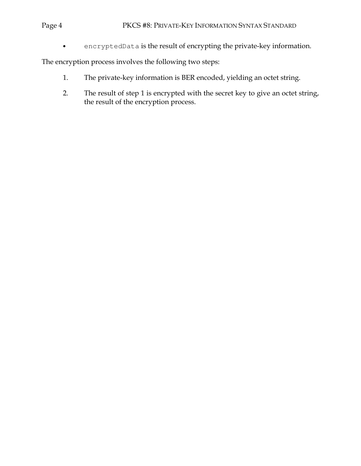#### Page 4

encryptedData is the result of encrypting the private-key information.  $\bullet$ 

The encryption process involves the following two steps:

- The private-key information is BER encoded, yielding an octet string.  $1.$
- $2.$ The result of step 1 is encrypted with the secret key to give an octet string, the result of the encryption process.